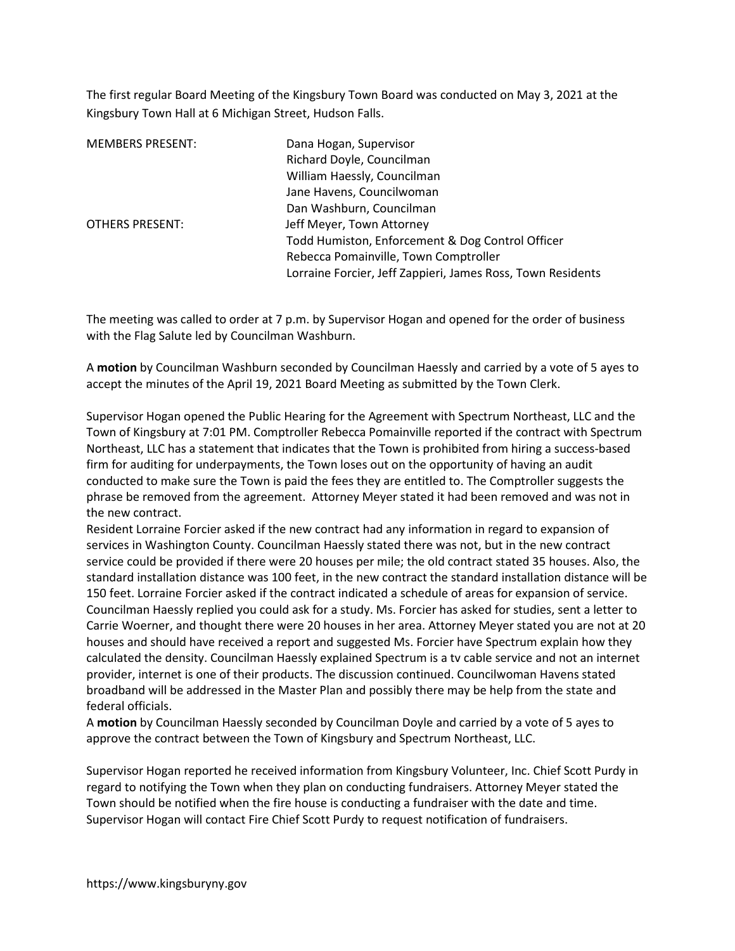The first regular Board Meeting of the Kingsbury Town Board was conducted on May 3, 2021 at the Kingsbury Town Hall at 6 Michigan Street, Hudson Falls.

| <b>MEMBERS PRESENT:</b> | Dana Hogan, Supervisor<br>Richard Doyle, Councilman         |
|-------------------------|-------------------------------------------------------------|
|                         | William Haessly, Councilman                                 |
|                         | Jane Havens, Councilwoman                                   |
|                         | Dan Washburn, Councilman                                    |
| <b>OTHERS PRESENT:</b>  | Jeff Meyer, Town Attorney                                   |
|                         | Todd Humiston, Enforcement & Dog Control Officer            |
|                         | Rebecca Pomainville, Town Comptroller                       |
|                         | Lorraine Forcier, Jeff Zappieri, James Ross, Town Residents |

The meeting was called to order at 7 p.m. by Supervisor Hogan and opened for the order of business with the Flag Salute led by Councilman Washburn.

A motion by Councilman Washburn seconded by Councilman Haessly and carried by a vote of 5 ayes to accept the minutes of the April 19, 2021 Board Meeting as submitted by the Town Clerk.

Supervisor Hogan opened the Public Hearing for the Agreement with Spectrum Northeast, LLC and the Town of Kingsbury at 7:01 PM. Comptroller Rebecca Pomainville reported if the contract with Spectrum Northeast, LLC has a statement that indicates that the Town is prohibited from hiring a success-based firm for auditing for underpayments, the Town loses out on the opportunity of having an audit conducted to make sure the Town is paid the fees they are entitled to. The Comptroller suggests the phrase be removed from the agreement. Attorney Meyer stated it had been removed and was not in the new contract.

Resident Lorraine Forcier asked if the new contract had any information in regard to expansion of services in Washington County. Councilman Haessly stated there was not, but in the new contract service could be provided if there were 20 houses per mile; the old contract stated 35 houses. Also, the standard installation distance was 100 feet, in the new contract the standard installation distance will be 150 feet. Lorraine Forcier asked if the contract indicated a schedule of areas for expansion of service. Councilman Haessly replied you could ask for a study. Ms. Forcier has asked for studies, sent a letter to Carrie Woerner, and thought there were 20 houses in her area. Attorney Meyer stated you are not at 20 houses and should have received a report and suggested Ms. Forcier have Spectrum explain how they calculated the density. Councilman Haessly explained Spectrum is a tv cable service and not an internet provider, internet is one of their products. The discussion continued. Councilwoman Havens stated broadband will be addressed in the Master Plan and possibly there may be help from the state and federal officials.

A motion by Councilman Haessly seconded by Councilman Doyle and carried by a vote of 5 ayes to approve the contract between the Town of Kingsbury and Spectrum Northeast, LLC.

Supervisor Hogan reported he received information from Kingsbury Volunteer, Inc. Chief Scott Purdy in regard to notifying the Town when they plan on conducting fundraisers. Attorney Meyer stated the Town should be notified when the fire house is conducting a fundraiser with the date and time. Supervisor Hogan will contact Fire Chief Scott Purdy to request notification of fundraisers.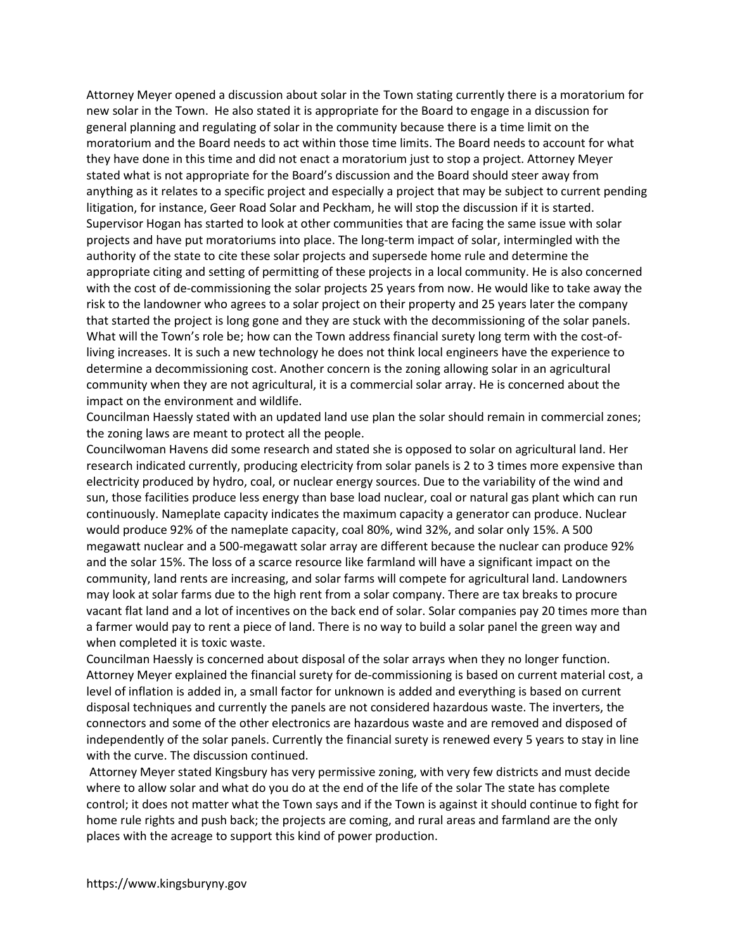Attorney Meyer opened a discussion about solar in the Town stating currently there is a moratorium for new solar in the Town. He also stated it is appropriate for the Board to engage in a discussion for general planning and regulating of solar in the community because there is a time limit on the moratorium and the Board needs to act within those time limits. The Board needs to account for what they have done in this time and did not enact a moratorium just to stop a project. Attorney Meyer stated what is not appropriate for the Board's discussion and the Board should steer away from anything as it relates to a specific project and especially a project that may be subject to current pending litigation, for instance, Geer Road Solar and Peckham, he will stop the discussion if it is started. Supervisor Hogan has started to look at other communities that are facing the same issue with solar projects and have put moratoriums into place. The long-term impact of solar, intermingled with the authority of the state to cite these solar projects and supersede home rule and determine the appropriate citing and setting of permitting of these projects in a local community. He is also concerned with the cost of de-commissioning the solar projects 25 years from now. He would like to take away the risk to the landowner who agrees to a solar project on their property and 25 years later the company that started the project is long gone and they are stuck with the decommissioning of the solar panels. What will the Town's role be; how can the Town address financial surety long term with the cost-ofliving increases. It is such a new technology he does not think local engineers have the experience to determine a decommissioning cost. Another concern is the zoning allowing solar in an agricultural community when they are not agricultural, it is a commercial solar array. He is concerned about the impact on the environment and wildlife.

Councilman Haessly stated with an updated land use plan the solar should remain in commercial zones; the zoning laws are meant to protect all the people.

Councilwoman Havens did some research and stated she is opposed to solar on agricultural land. Her research indicated currently, producing electricity from solar panels is 2 to 3 times more expensive than electricity produced by hydro, coal, or nuclear energy sources. Due to the variability of the wind and sun, those facilities produce less energy than base load nuclear, coal or natural gas plant which can run continuously. Nameplate capacity indicates the maximum capacity a generator can produce. Nuclear would produce 92% of the nameplate capacity, coal 80%, wind 32%, and solar only 15%. A 500 megawatt nuclear and a 500-megawatt solar array are different because the nuclear can produce 92% and the solar 15%. The loss of a scarce resource like farmland will have a significant impact on the community, land rents are increasing, and solar farms will compete for agricultural land. Landowners may look at solar farms due to the high rent from a solar company. There are tax breaks to procure vacant flat land and a lot of incentives on the back end of solar. Solar companies pay 20 times more than a farmer would pay to rent a piece of land. There is no way to build a solar panel the green way and when completed it is toxic waste.

Councilman Haessly is concerned about disposal of the solar arrays when they no longer function. Attorney Meyer explained the financial surety for de-commissioning is based on current material cost, a level of inflation is added in, a small factor for unknown is added and everything is based on current disposal techniques and currently the panels are not considered hazardous waste. The inverters, the connectors and some of the other electronics are hazardous waste and are removed and disposed of independently of the solar panels. Currently the financial surety is renewed every 5 years to stay in line with the curve. The discussion continued.

 Attorney Meyer stated Kingsbury has very permissive zoning, with very few districts and must decide where to allow solar and what do you do at the end of the life of the solar The state has complete control; it does not matter what the Town says and if the Town is against it should continue to fight for home rule rights and push back; the projects are coming, and rural areas and farmland are the only places with the acreage to support this kind of power production.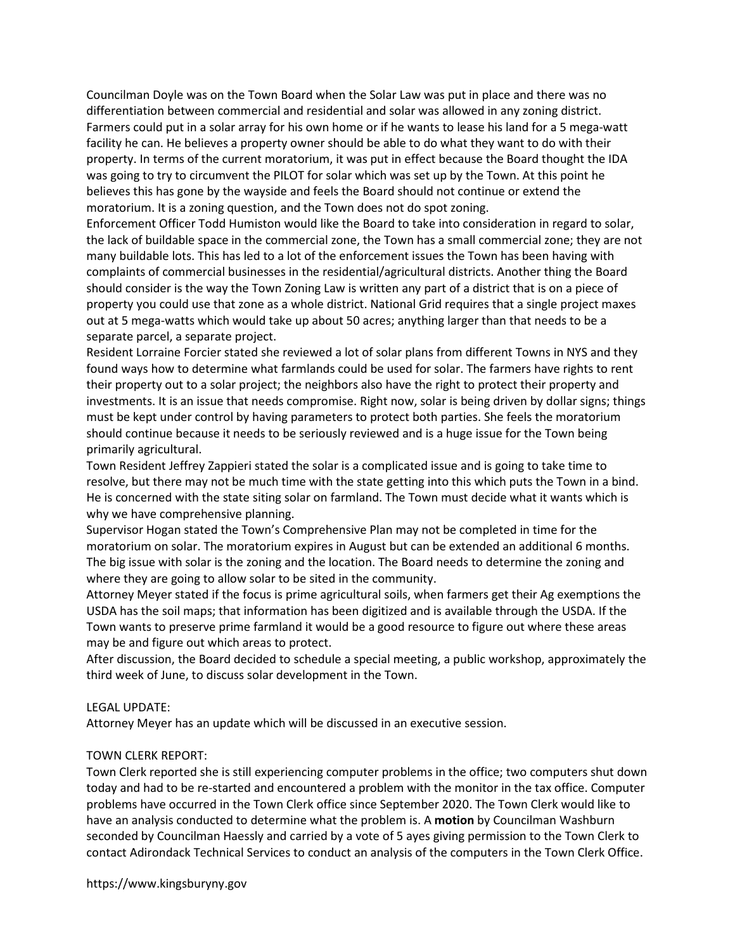Councilman Doyle was on the Town Board when the Solar Law was put in place and there was no differentiation between commercial and residential and solar was allowed in any zoning district. Farmers could put in a solar array for his own home or if he wants to lease his land for a 5 mega-watt facility he can. He believes a property owner should be able to do what they want to do with their property. In terms of the current moratorium, it was put in effect because the Board thought the IDA was going to try to circumvent the PILOT for solar which was set up by the Town. At this point he believes this has gone by the wayside and feels the Board should not continue or extend the moratorium. It is a zoning question, and the Town does not do spot zoning.

Enforcement Officer Todd Humiston would like the Board to take into consideration in regard to solar, the lack of buildable space in the commercial zone, the Town has a small commercial zone; they are not many buildable lots. This has led to a lot of the enforcement issues the Town has been having with complaints of commercial businesses in the residential/agricultural districts. Another thing the Board should consider is the way the Town Zoning Law is written any part of a district that is on a piece of property you could use that zone as a whole district. National Grid requires that a single project maxes out at 5 mega-watts which would take up about 50 acres; anything larger than that needs to be a separate parcel, a separate project.

Resident Lorraine Forcier stated she reviewed a lot of solar plans from different Towns in NYS and they found ways how to determine what farmlands could be used for solar. The farmers have rights to rent their property out to a solar project; the neighbors also have the right to protect their property and investments. It is an issue that needs compromise. Right now, solar is being driven by dollar signs; things must be kept under control by having parameters to protect both parties. She feels the moratorium should continue because it needs to be seriously reviewed and is a huge issue for the Town being primarily agricultural.

Town Resident Jeffrey Zappieri stated the solar is a complicated issue and is going to take time to resolve, but there may not be much time with the state getting into this which puts the Town in a bind. He is concerned with the state siting solar on farmland. The Town must decide what it wants which is why we have comprehensive planning.

Supervisor Hogan stated the Town's Comprehensive Plan may not be completed in time for the moratorium on solar. The moratorium expires in August but can be extended an additional 6 months. The big issue with solar is the zoning and the location. The Board needs to determine the zoning and where they are going to allow solar to be sited in the community.

Attorney Meyer stated if the focus is prime agricultural soils, when farmers get their Ag exemptions the USDA has the soil maps; that information has been digitized and is available through the USDA. If the Town wants to preserve prime farmland it would be a good resource to figure out where these areas may be and figure out which areas to protect.

After discussion, the Board decided to schedule a special meeting, a public workshop, approximately the third week of June, to discuss solar development in the Town.

## LEGAL UPDATE:

Attorney Meyer has an update which will be discussed in an executive session.

#### TOWN CLERK REPORT:

Town Clerk reported she is still experiencing computer problems in the office; two computers shut down today and had to be re-started and encountered a problem with the monitor in the tax office. Computer problems have occurred in the Town Clerk office since September 2020. The Town Clerk would like to have an analysis conducted to determine what the problem is. A motion by Councilman Washburn seconded by Councilman Haessly and carried by a vote of 5 ayes giving permission to the Town Clerk to contact Adirondack Technical Services to conduct an analysis of the computers in the Town Clerk Office.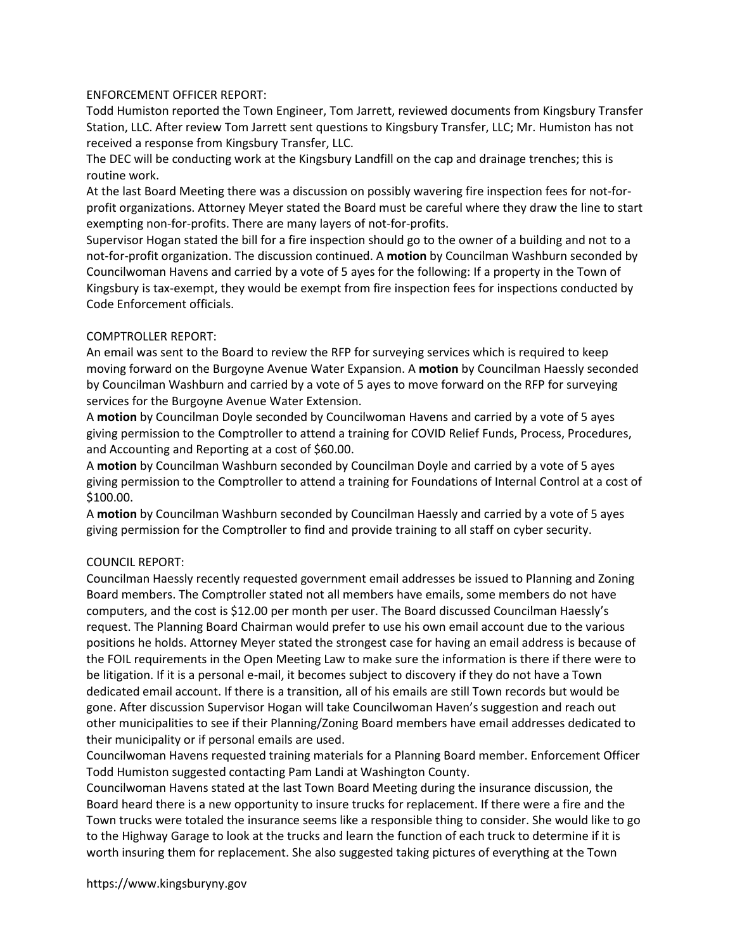# ENFORCEMENT OFFICER REPORT:

Todd Humiston reported the Town Engineer, Tom Jarrett, reviewed documents from Kingsbury Transfer Station, LLC. After review Tom Jarrett sent questions to Kingsbury Transfer, LLC; Mr. Humiston has not received a response from Kingsbury Transfer, LLC.

The DEC will be conducting work at the Kingsbury Landfill on the cap and drainage trenches; this is routine work.

At the last Board Meeting there was a discussion on possibly wavering fire inspection fees for not-forprofit organizations. Attorney Meyer stated the Board must be careful where they draw the line to start exempting non-for-profits. There are many layers of not-for-profits.

Supervisor Hogan stated the bill for a fire inspection should go to the owner of a building and not to a not-for-profit organization. The discussion continued. A motion by Councilman Washburn seconded by Councilwoman Havens and carried by a vote of 5 ayes for the following: If a property in the Town of Kingsbury is tax-exempt, they would be exempt from fire inspection fees for inspections conducted by Code Enforcement officials.

## COMPTROLLER REPORT:

An email was sent to the Board to review the RFP for surveying services which is required to keep moving forward on the Burgoyne Avenue Water Expansion. A motion by Councilman Haessly seconded by Councilman Washburn and carried by a vote of 5 ayes to move forward on the RFP for surveying services for the Burgoyne Avenue Water Extension.

A motion by Councilman Doyle seconded by Councilwoman Havens and carried by a vote of 5 ayes giving permission to the Comptroller to attend a training for COVID Relief Funds, Process, Procedures, and Accounting and Reporting at a cost of \$60.00.

A motion by Councilman Washburn seconded by Councilman Doyle and carried by a vote of 5 ayes giving permission to the Comptroller to attend a training for Foundations of Internal Control at a cost of \$100.00.

A motion by Councilman Washburn seconded by Councilman Haessly and carried by a vote of 5 ayes giving permission for the Comptroller to find and provide training to all staff on cyber security.

## COUNCIL REPORT:

Councilman Haessly recently requested government email addresses be issued to Planning and Zoning Board members. The Comptroller stated not all members have emails, some members do not have computers, and the cost is \$12.00 per month per user. The Board discussed Councilman Haessly's request. The Planning Board Chairman would prefer to use his own email account due to the various positions he holds. Attorney Meyer stated the strongest case for having an email address is because of the FOIL requirements in the Open Meeting Law to make sure the information is there if there were to be litigation. If it is a personal e-mail, it becomes subject to discovery if they do not have a Town dedicated email account. If there is a transition, all of his emails are still Town records but would be gone. After discussion Supervisor Hogan will take Councilwoman Haven's suggestion and reach out other municipalities to see if their Planning/Zoning Board members have email addresses dedicated to their municipality or if personal emails are used.

Councilwoman Havens requested training materials for a Planning Board member. Enforcement Officer Todd Humiston suggested contacting Pam Landi at Washington County.

Councilwoman Havens stated at the last Town Board Meeting during the insurance discussion, the Board heard there is a new opportunity to insure trucks for replacement. If there were a fire and the Town trucks were totaled the insurance seems like a responsible thing to consider. She would like to go to the Highway Garage to look at the trucks and learn the function of each truck to determine if it is worth insuring them for replacement. She also suggested taking pictures of everything at the Town